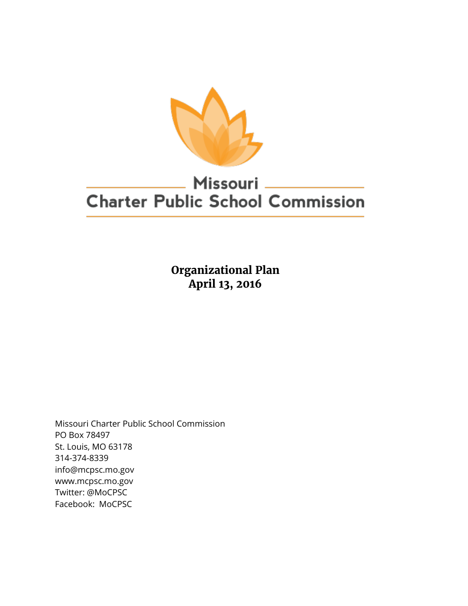

# Missouri **Charter Public School Commission**

**Organizational Plan April 13, 2016**

Missouri Charter Public School Commission PO Box 78497 St. Louis, MO 63178 314-374-8339 info@mcpsc.mo.gov www.mcpsc.mo.gov Twitter: @MoCPSC Facebook: MoCPSC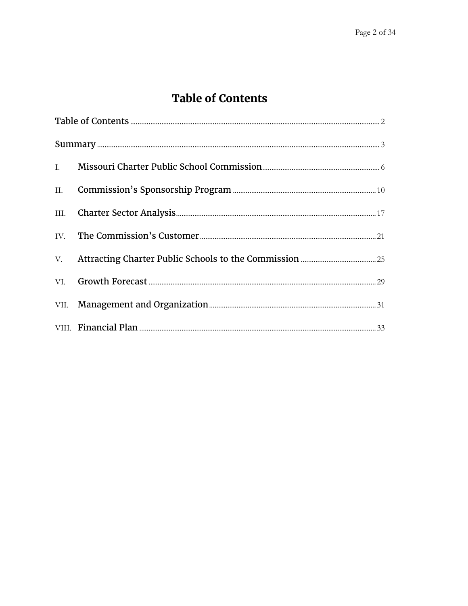# **Table of Contents**

<span id="page-1-0"></span>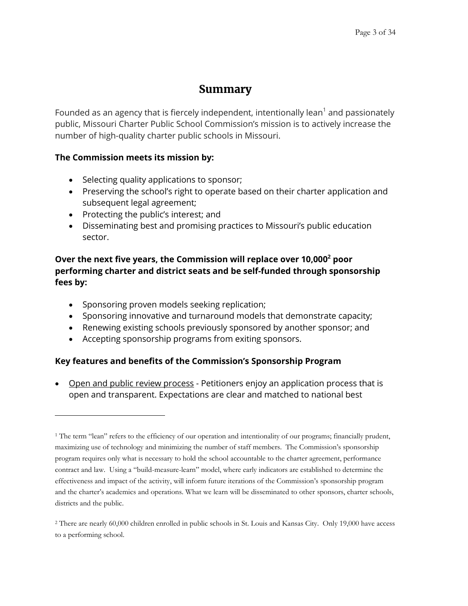### **Summary**

<span id="page-2-0"></span>Founded as an agency that is fiercely independent, intentionally lean $^1$  and passionately public, Missouri Charter Public School Commission's mission is to actively increase the number of high-quality charter public schools in Missouri.

### **The Commission meets its mission by:**

- Selecting quality applications to sponsor;
- Preserving the school's right to operate based on their charter application and subsequent legal agreement;
- Protecting the public's interest; and

 $\overline{a}$ 

 Disseminating best and promising practices to Missouri's public education sector.

### **Over the next five years, the Commission will replace over 10,000<sup>2</sup> poor performing charter and district seats and be self-funded through sponsorship fees by:**

- Sponsoring proven models seeking replication;
- Sponsoring innovative and turnaround models that demonstrate capacity;
- Renewing existing schools previously sponsored by another sponsor; and
- Accepting sponsorship programs from exiting sponsors.

### **Key features and benefits of the Commission's Sponsorship Program**

 Open and public review process - Petitioners enjoy an application process that is open and transparent. Expectations are clear and matched to national best

<sup>&</sup>lt;sup>1</sup> The term "lean" refers to the efficiency of our operation and intentionality of our programs; financially prudent, maximizing use of technology and minimizing the number of staff members. The Commission's sponsorship program requires only what is necessary to hold the school accountable to the charter agreement, performance contract and law. Using a "build-measure-learn" model, where early indicators are established to determine the effectiveness and impact of the activity, will inform future iterations of the Commission's sponsorship program and the charter's academics and operations. What we learn will be disseminated to other sponsors, charter schools, districts and the public.

<sup>2</sup> There are nearly 60,000 children enrolled in public schools in St. Louis and Kansas City. Only 19,000 have access to a performing school.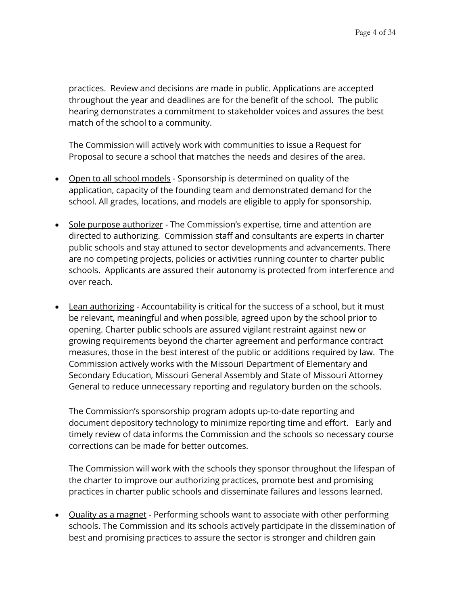practices. Review and decisions are made in public. Applications are accepted throughout the year and deadlines are for the benefit of the school. The public hearing demonstrates a commitment to stakeholder voices and assures the best match of the school to a community.

The Commission will actively work with communities to issue a Request for Proposal to secure a school that matches the needs and desires of the area.

- Open to all school models Sponsorship is determined on quality of the application, capacity of the founding team and demonstrated demand for the school. All grades, locations, and models are eligible to apply for sponsorship.
- Sole purpose authorizer The Commission's expertise, time and attention are directed to authorizing. Commission staff and consultants are experts in charter public schools and stay attuned to sector developments and advancements. There are no competing projects, policies or activities running counter to charter public schools. Applicants are assured their autonomy is protected from interference and over reach.
- Lean authorizing Accountability is critical for the success of a school, but it must be relevant, meaningful and when possible, agreed upon by the school prior to opening. Charter public schools are assured vigilant restraint against new or growing requirements beyond the charter agreement and performance contract measures, those in the best interest of the public or additions required by law. The Commission actively works with the Missouri Department of Elementary and Secondary Education, Missouri General Assembly and State of Missouri Attorney General to reduce unnecessary reporting and regulatory burden on the schools.

The Commission's sponsorship program adopts up-to-date reporting and document depository technology to minimize reporting time and effort. Early and timely review of data informs the Commission and the schools so necessary course corrections can be made for better outcomes.

The Commission will work with the schools they sponsor throughout the lifespan of the charter to improve our authorizing practices, promote best and promising practices in charter public schools and disseminate failures and lessons learned.

• Quality as a magnet - Performing schools want to associate with other performing schools. The Commission and its schools actively participate in the dissemination of best and promising practices to assure the sector is stronger and children gain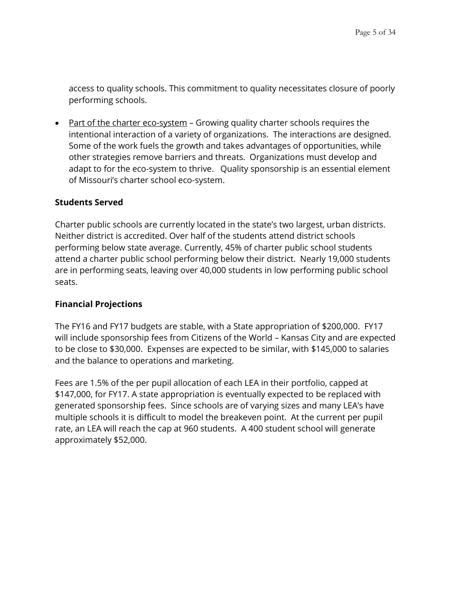access to quality schools. This commitment to quality necessitates closure of poorly performing schools.

 Part of the charter eco-system – Growing quality charter schools requires the intentional interaction of a variety of organizations. The interactions are designed. Some of the work fuels the growth and takes advantages of opportunities, while other strategies remove barriers and threats. Organizations must develop and adapt to for the eco-system to thrive. Quality sponsorship is an essential element of Missouri's charter school eco-system.

#### **Students Served**

Charter public schools are currently located in the state's two largest, urban districts. Neither district is accredited. Over half of the students attend district schools performing below state average. Currently, 45% of charter public school students attend a charter public school performing below their district. Nearly 19,000 students are in performing seats, leaving over 40,000 students in low performing public school seats.

#### **Financial Projections**

The FY16 and FY17 budgets are stable, with a State appropriation of \$200,000. FY17 will include sponsorship fees from Citizens of the World – Kansas City and are expected to be close to \$30,000. Expenses are expected to be similar, with \$145,000 to salaries and the balance to operations and marketing.

Fees are 1.5% of the per pupil allocation of each LEA in their portfolio, capped at \$147,000, for FY17. A state appropriation is eventually expected to be replaced with generated sponsorship fees. Since schools are of varying sizes and many LEA's have multiple schools it is difficult to model the breakeven point. At the current per pupil rate, an LEA will reach the cap at 960 students. A 400 student school will generate approximately \$52,000.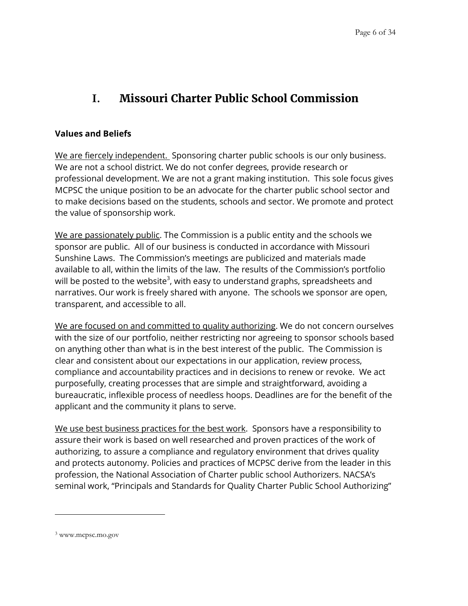# <span id="page-5-0"></span>**I. Missouri Charter Public School Commission**

#### **Values and Beliefs**

We are fiercely independent. Sponsoring charter public schools is our only business. We are not a school district. We do not confer degrees, provide research or professional development. We are not a grant making institution. This sole focus gives MCPSC the unique position to be an advocate for the charter public school sector and to make decisions based on the students, schools and sector. We promote and protect the value of sponsorship work.

We are passionately public. The Commission is a public entity and the schools we sponsor are public. All of our business is conducted in accordance with Missouri Sunshine Laws. The Commission's meetings are publicized and materials made available to all, within the limits of the law. The results of the Commission's portfolio will be posted to the website $^3$ , with easy to understand graphs, spreadsheets and narratives. Our work is freely shared with anyone. The schools we sponsor are open, transparent, and accessible to all.

We are focused on and committed to quality authorizing. We do not concern ourselves with the size of our portfolio, neither restricting nor agreeing to sponsor schools based on anything other than what is in the best interest of the public. The Commission is clear and consistent about our expectations in our application, review process, compliance and accountability practices and in decisions to renew or revoke. We act purposefully, creating processes that are simple and straightforward, avoiding a bureaucratic, inflexible process of needless hoops. Deadlines are for the benefit of the applicant and the community it plans to serve.

We use best business practices for the best work. Sponsors have a responsibility to assure their work is based on well researched and proven practices of the work of authorizing, to assure a compliance and regulatory environment that drives quality and protects autonomy. Policies and practices of MCPSC derive from the leader in this profession, the National Association of Charter public school Authorizers. NACSA's seminal work, "Principals and Standards for Quality Charter Public School Authorizing"

<sup>3</sup> www.mcpsc.mo.gov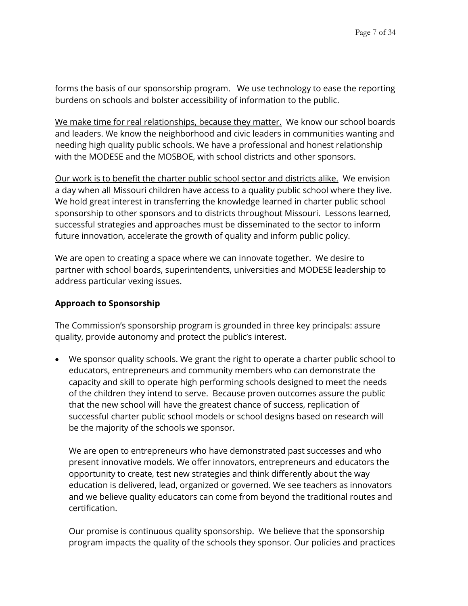forms the basis of our sponsorship program. We use technology to ease the reporting burdens on schools and bolster accessibility of information to the public.

We make time for real relationships, because they matter. We know our school boards and leaders. We know the neighborhood and civic leaders in communities wanting and needing high quality public schools. We have a professional and honest relationship with the MODESE and the MOSBOE, with school districts and other sponsors.

Our work is to benefit the charter public school sector and districts alike. We envision a day when all Missouri children have access to a quality public school where they live. We hold great interest in transferring the knowledge learned in charter public school sponsorship to other sponsors and to districts throughout Missouri. Lessons learned, successful strategies and approaches must be disseminated to the sector to inform future innovation, accelerate the growth of quality and inform public policy.

We are open to creating a space where we can innovate together. We desire to partner with school boards, superintendents, universities and MODESE leadership to address particular vexing issues.

#### **Approach to Sponsorship**

The Commission's sponsorship program is grounded in three key principals: assure quality, provide autonomy and protect the public's interest.

 We sponsor quality schools. We grant the right to operate a charter public school to educators, entrepreneurs and community members who can demonstrate the capacity and skill to operate high performing schools designed to meet the needs of the children they intend to serve. Because proven outcomes assure the public that the new school will have the greatest chance of success, replication of successful charter public school models or school designs based on research will be the majority of the schools we sponsor.

We are open to entrepreneurs who have demonstrated past successes and who present innovative models. We offer innovators, entrepreneurs and educators the opportunity to create, test new strategies and think differently about the way education is delivered, lead, organized or governed. We see teachers as innovators and we believe quality educators can come from beyond the traditional routes and certification.

Our promise is continuous quality sponsorship. We believe that the sponsorship program impacts the quality of the schools they sponsor. Our policies and practices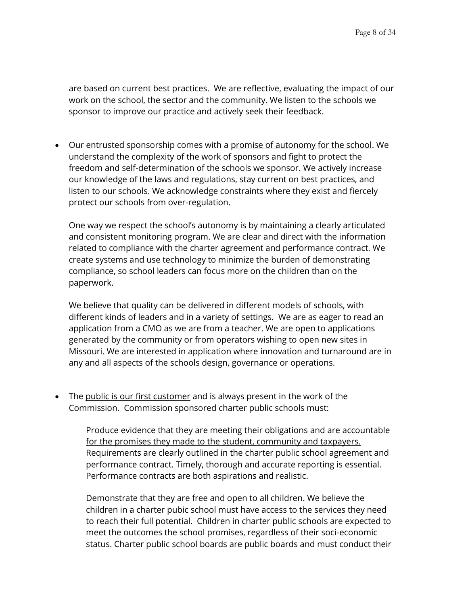are based on current best practices. We are reflective, evaluating the impact of our work on the school, the sector and the community. We listen to the schools we sponsor to improve our practice and actively seek their feedback.

• Our entrusted sponsorship comes with a promise of autonomy for the school. We understand the complexity of the work of sponsors and fight to protect the freedom and self-determination of the schools we sponsor. We actively increase our knowledge of the laws and regulations, stay current on best practices, and listen to our schools. We acknowledge constraints where they exist and fiercely protect our schools from over-regulation.

One way we respect the school's autonomy is by maintaining a clearly articulated and consistent monitoring program. We are clear and direct with the information related to compliance with the charter agreement and performance contract. We create systems and use technology to minimize the burden of demonstrating compliance, so school leaders can focus more on the children than on the paperwork.

We believe that quality can be delivered in different models of schools, with different kinds of leaders and in a variety of settings. We are as eager to read an application from a CMO as we are from a teacher. We are open to applications generated by the community or from operators wishing to open new sites in Missouri. We are interested in application where innovation and turnaround are in any and all aspects of the schools design, governance or operations.

• The public is our first customer and is always present in the work of the Commission. Commission sponsored charter public schools must:

> Produce evidence that they are meeting their obligations and are accountable for the promises they made to the student, community and taxpayers. Requirements are clearly outlined in the charter public school agreement and performance contract. Timely, thorough and accurate reporting is essential. Performance contracts are both aspirations and realistic.

> Demonstrate that they are free and open to all children. We believe the children in a charter pubic school must have access to the services they need to reach their full potential. Children in charter public schools are expected to meet the outcomes the school promises, regardless of their soci-economic status. Charter public school boards are public boards and must conduct their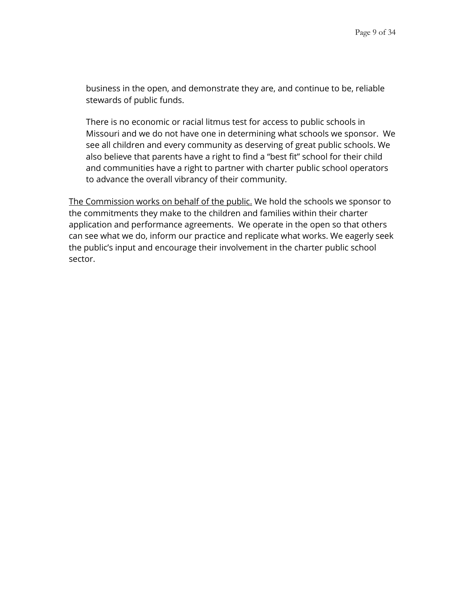business in the open, and demonstrate they are, and continue to be, reliable stewards of public funds.

There is no economic or racial litmus test for access to public schools in Missouri and we do not have one in determining what schools we sponsor. We see all children and every community as deserving of great public schools. We also believe that parents have a right to find a "best fit" school for their child and communities have a right to partner with charter public school operators to advance the overall vibrancy of their community.

The Commission works on behalf of the public. We hold the schools we sponsor to the commitments they make to the children and families within their charter application and performance agreements. We operate in the open so that others can see what we do, inform our practice and replicate what works. We eagerly seek the public's input and encourage their involvement in the charter public school sector.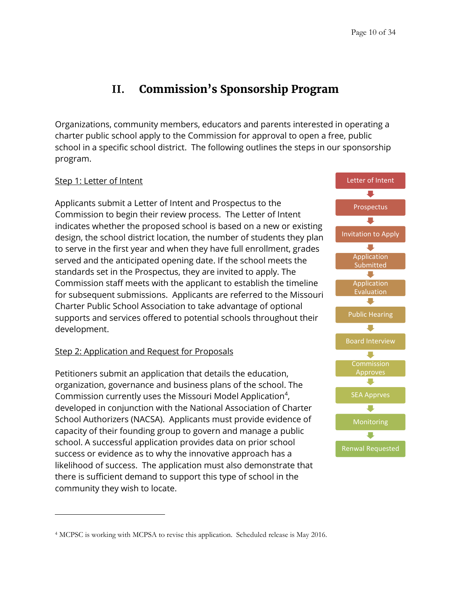# **II. Commission's Sponsorship Program**

<span id="page-9-0"></span>Organizations, community members, educators and parents interested in operating a charter public school apply to the Commission for approval to open a free, public school in a specific school district. The following outlines the steps in our sponsorship program.

#### Step 1: Letter of Intent

 $\overline{a}$ 

Applicants submit a Letter of Intent and Prospectus to the Commission to begin their review process. The Letter of Intent indicates whether the proposed school is based on a new or existing design, the school district location, the number of students they plan to serve in the first year and when they have full enrollment, grades served and the anticipated opening date. If the school meets the standards set in the Prospectus, they are invited to apply. The Commission staff meets with the applicant to establish the timeline for subsequent submissions. Applicants are referred to the Missouri Charter Public School Association to take advantage of optional supports and services offered to potential schools throughout their development.

#### Step 2: Application and Request for Proposals

Petitioners submit an application that details the education, organization, governance and business plans of the school. The Commission currently uses the Missouri Model Application<sup>4</sup>, developed in conjunction with the National Association of Charter School Authorizers (NACSA). Applicants must provide evidence of capacity of their founding group to govern and manage a public school. A successful application provides data on prior school success or evidence as to why the innovative approach has a likelihood of success. The application must also demonstrate that there is sufficient demand to support this type of school in the community they wish to locate.



<sup>4</sup> MCPSC is working with MCPSA to revise this application. Scheduled release is May 2016.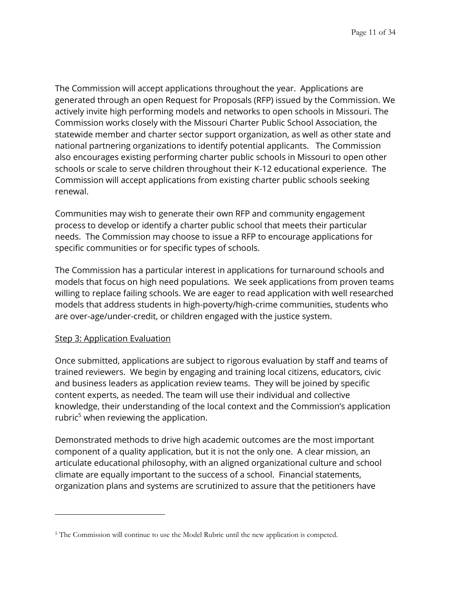The Commission will accept applications throughout the year. Applications are generated through an open Request for Proposals (RFP) issued by the Commission. We actively invite high performing models and networks to open schools in Missouri. The Commission works closely with the Missouri Charter Public School Association, the statewide member and charter sector support organization, as well as other state and national partnering organizations to identify potential applicants. The Commission also encourages existing performing charter public schools in Missouri to open other schools or scale to serve children throughout their K-12 educational experience. The Commission will accept applications from existing charter public schools seeking renewal.

Communities may wish to generate their own RFP and community engagement process to develop or identify a charter public school that meets their particular needs. The Commission may choose to issue a RFP to encourage applications for specific communities or for specific types of schools.

The Commission has a particular interest in applications for turnaround schools and models that focus on high need populations. We seek applications from proven teams willing to replace failing schools. We are eager to read application with well researched models that address students in high-poverty/high-crime communities, students who are over-age/under-credit, or children engaged with the justice system.

#### Step 3: Application Evaluation

 $\overline{a}$ 

Once submitted, applications are subject to rigorous evaluation by staff and teams of trained reviewers. We begin by engaging and training local citizens, educators, civic and business leaders as application review teams. They will be joined by specific content experts, as needed. The team will use their individual and collective knowledge, their understanding of the local context and the Commission's application rubric $5$  when reviewing the application.

Demonstrated methods to drive high academic outcomes are the most important component of a quality application, but it is not the only one. A clear mission, an articulate educational philosophy, with an aligned organizational culture and school climate are equally important to the success of a school. Financial statements, organization plans and systems are scrutinized to assure that the petitioners have

<sup>5</sup> The Commission will continue to use the Model Rubric until the new application is competed.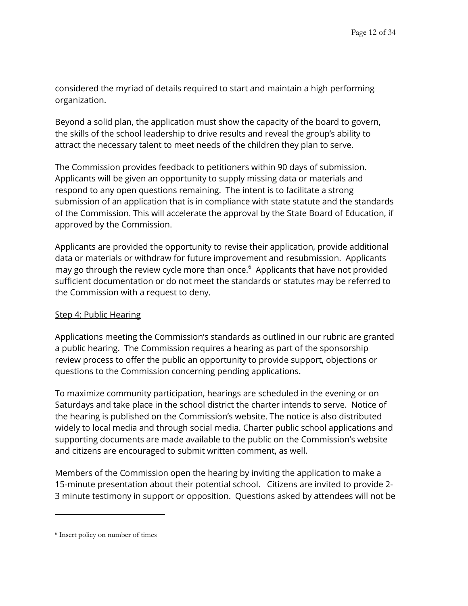considered the myriad of details required to start and maintain a high performing organization.

Beyond a solid plan, the application must show the capacity of the board to govern, the skills of the school leadership to drive results and reveal the group's ability to attract the necessary talent to meet needs of the children they plan to serve.

The Commission provides feedback to petitioners within 90 days of submission. Applicants will be given an opportunity to supply missing data or materials and respond to any open questions remaining. The intent is to facilitate a strong submission of an application that is in compliance with state statute and the standards of the Commission. This will accelerate the approval by the State Board of Education, if approved by the Commission.

Applicants are provided the opportunity to revise their application, provide additional data or materials or withdraw for future improvement and resubmission. Applicants may go through the review cycle more than once.<sup>6</sup> Applicants that have not provided sufficient documentation or do not meet the standards or statutes may be referred to the Commission with a request to deny.

#### Step 4: Public Hearing

Applications meeting the Commission's standards as outlined in our rubric are granted a public hearing. The Commission requires a hearing as part of the sponsorship review process to offer the public an opportunity to provide support, objections or questions to the Commission concerning pending applications.

To maximize community participation, hearings are scheduled in the evening or on Saturdays and take place in the school district the charter intends to serve. Notice of the hearing is published on the Commission's website. The notice is also distributed widely to local media and through social media. Charter public school applications and supporting documents are made available to the public on the Commission's website and citizens are encouraged to submit written comment, as well.

Members of the Commission open the hearing by inviting the application to make a 15-minute presentation about their potential school. Citizens are invited to provide 2- 3 minute testimony in support or opposition. Questions asked by attendees will not be

<sup>6</sup> Insert policy on number of times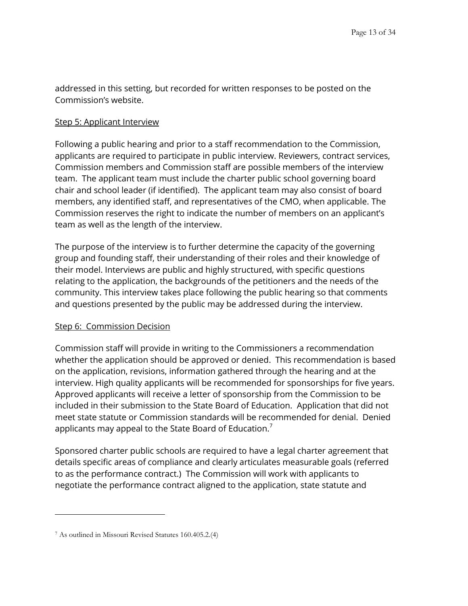addressed in this setting, but recorded for written responses to be posted on the Commission's website.

#### Step 5: Applicant Interview

Following a public hearing and prior to a staff recommendation to the Commission, applicants are required to participate in public interview. Reviewers, contract services, Commission members and Commission staff are possible members of the interview team. The applicant team must include the charter public school governing board chair and school leader (if identified). The applicant team may also consist of board members, any identified staff, and representatives of the CMO, when applicable. The Commission reserves the right to indicate the number of members on an applicant's team as well as the length of the interview.

The purpose of the interview is to further determine the capacity of the governing group and founding staff, their understanding of their roles and their knowledge of their model. Interviews are public and highly structured, with specific questions relating to the application, the backgrounds of the petitioners and the needs of the community. This interview takes place following the public hearing so that comments and questions presented by the public may be addressed during the interview.

#### Step 6: Commission Decision

Commission staff will provide in writing to the Commissioners a recommendation whether the application should be approved or denied. This recommendation is based on the application, revisions, information gathered through the hearing and at the interview. High quality applicants will be recommended for sponsorships for five years. Approved applicants will receive a letter of sponsorship from the Commission to be included in their submission to the State Board of Education. Application that did not meet state statute or Commission standards will be recommended for denial. Denied applicants may appeal to the State Board of Education.<sup>7</sup>

Sponsored charter public schools are required to have a legal charter agreement that details specific areas of compliance and clearly articulates measurable goals (referred to as the performance contract.) The Commission will work with applicants to negotiate the performance contract aligned to the application, state statute and

<sup>7</sup> As outlined in Missouri Revised Statutes 160.405.2.(4)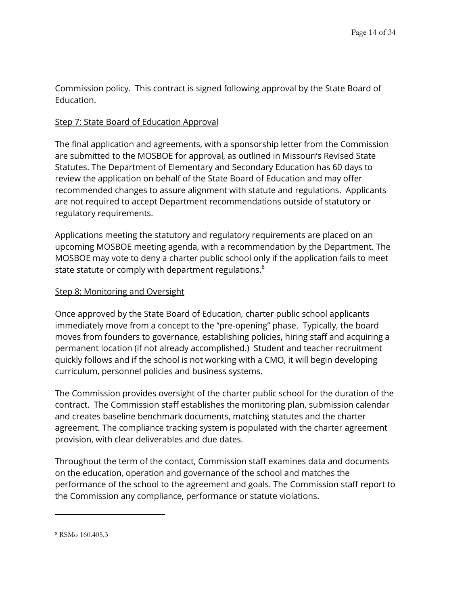Commission policy. This contract is signed following approval by the State Board of Education.

#### Step 7: State Board of Education Approval

The final application and agreements, with a sponsorship letter from the Commission are submitted to the MOSBOE for approval, as outlined in Missouri's Revised State Statutes. The Department of Elementary and Secondary Education has 60 days to review the application on behalf of the State Board of Education and may offer recommended changes to assure alignment with statute and regulations. Applicants are not required to accept Department recommendations outside of statutory or regulatory requirements.

Applications meeting the statutory and regulatory requirements are placed on an upcoming MOSBOE meeting agenda, with a recommendation by the Department. The MOSBOE may vote to deny a charter public school only if the application fails to meet state statute or comply with department regulations.<sup>8</sup>

### Step 8: Monitoring and Oversight

Once approved by the State Board of Education, charter public school applicants immediately move from a concept to the "pre-opening" phase. Typically, the board moves from founders to governance, establishing policies, hiring staff and acquiring a permanent location (if not already accomplished.) Student and teacher recruitment quickly follows and if the school is not working with a CMO, it will begin developing curriculum, personnel policies and business systems.

The Commission provides oversight of the charter public school for the duration of the contract. The Commission staff establishes the monitoring plan, submission calendar and creates baseline benchmark documents, matching statutes and the charter agreement. The compliance tracking system is populated with the charter agreement provision, with clear deliverables and due dates.

Throughout the term of the contact, Commission staff examines data and documents on the education, operation and governance of the school and matches the performance of the school to the agreement and goals. The Commission staff report to the Commission any compliance, performance or statute violations.

<sup>8</sup> RSMo 160.405.3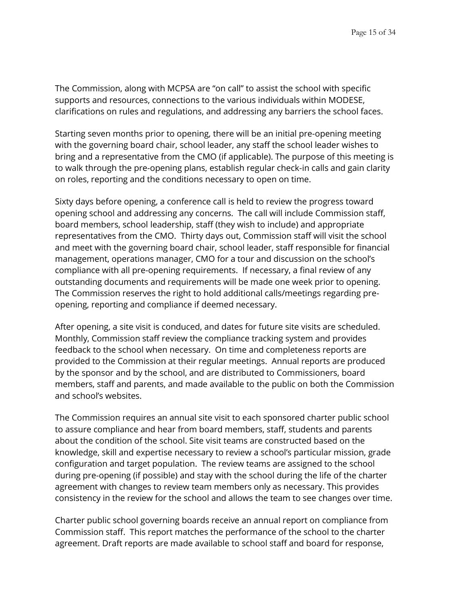The Commission, along with MCPSA are "on call" to assist the school with specific supports and resources, connections to the various individuals within MODESE, clarifications on rules and regulations, and addressing any barriers the school faces.

Starting seven months prior to opening, there will be an initial pre-opening meeting with the governing board chair, school leader, any staff the school leader wishes to bring and a representative from the CMO (if applicable). The purpose of this meeting is to walk through the pre-opening plans, establish regular check-in calls and gain clarity on roles, reporting and the conditions necessary to open on time.

Sixty days before opening, a conference call is held to review the progress toward opening school and addressing any concerns. The call will include Commission staff, board members, school leadership, staff (they wish to include) and appropriate representatives from the CMO. Thirty days out, Commission staff will visit the school and meet with the governing board chair, school leader, staff responsible for financial management, operations manager, CMO for a tour and discussion on the school's compliance with all pre-opening requirements. If necessary, a final review of any outstanding documents and requirements will be made one week prior to opening. The Commission reserves the right to hold additional calls/meetings regarding preopening, reporting and compliance if deemed necessary.

After opening, a site visit is conduced, and dates for future site visits are scheduled. Monthly, Commission staff review the compliance tracking system and provides feedback to the school when necessary. On time and completeness reports are provided to the Commission at their regular meetings. Annual reports are produced by the sponsor and by the school, and are distributed to Commissioners, board members, staff and parents, and made available to the public on both the Commission and school's websites.

The Commission requires an annual site visit to each sponsored charter public school to assure compliance and hear from board members, staff, students and parents about the condition of the school. Site visit teams are constructed based on the knowledge, skill and expertise necessary to review a school's particular mission, grade configuration and target population. The review teams are assigned to the school during pre-opening (if possible) and stay with the school during the life of the charter agreement with changes to review team members only as necessary. This provides consistency in the review for the school and allows the team to see changes over time.

Charter public school governing boards receive an annual report on compliance from Commission staff. This report matches the performance of the school to the charter agreement. Draft reports are made available to school staff and board for response,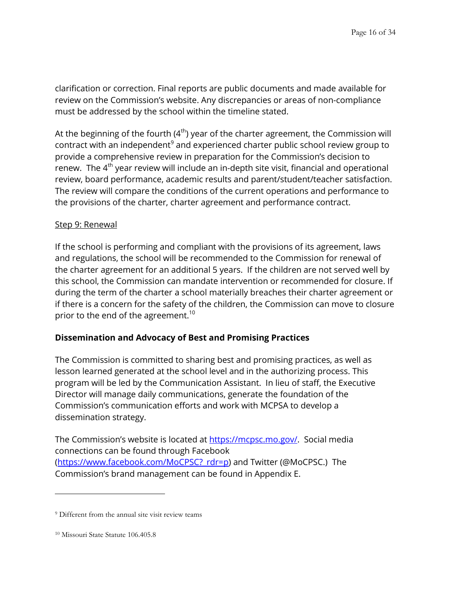clarification or correction. Final reports are public documents and made available for review on the Commission's website. Any discrepancies or areas of non-compliance must be addressed by the school within the timeline stated.

At the beginning of the fourth (4<sup>th</sup>) year of the charter agreement, the Commission will contract with an independent $^9$  and experienced charter public school review group to provide a comprehensive review in preparation for the Commission's decision to renew. The 4<sup>th</sup> year review will include an in-depth site visit, financial and operational review, board performance, academic results and parent/student/teacher satisfaction. The review will compare the conditions of the current operations and performance to the provisions of the charter, charter agreement and performance contract.

#### Step 9: Renewal

If the school is performing and compliant with the provisions of its agreement, laws and regulations, the school will be recommended to the Commission for renewal of the charter agreement for an additional 5 years. If the children are not served well by this school, the Commission can mandate intervention or recommended for closure. If during the term of the charter a school materially breaches their charter agreement or if there is a concern for the safety of the children, the Commission can move to closure prior to the end of the agreement.<sup>10</sup>

#### **Dissemination and Advocacy of Best and Promising Practices**

The Commission is committed to sharing best and promising practices, as well as lesson learned generated at the school level and in the authorizing process. This program will be led by the Communication Assistant. In lieu of staff, the Executive Director will manage daily communications, generate the foundation of the Commission's communication efforts and work with MCPSA to develop a dissemination strategy.

The Commission's website is located at [https://mcpsc.mo.gov/.](https://mcpsc.mo.gov/) Social media connections can be found through Facebook (https://www.facebook.com/MoCPSC? rdr=p) and Twitter (@MoCPSC.) The Commission's brand management can be found in Appendix E.

<sup>&</sup>lt;sup>9</sup> Different from the annual site visit review teams

<sup>10</sup> Missouri State Statute 106.405.8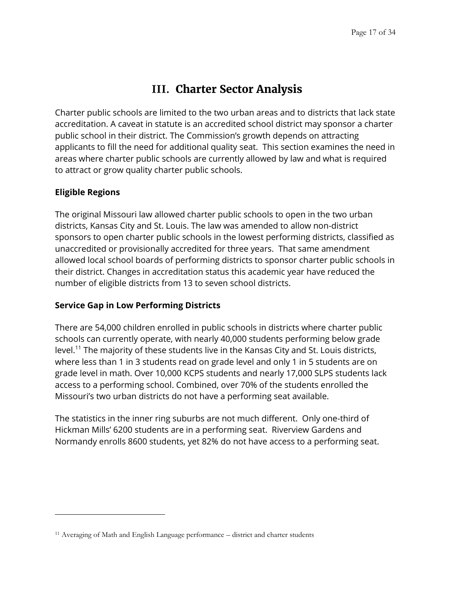# **III. Charter Sector Analysis**

<span id="page-16-0"></span>Charter public schools are limited to the two urban areas and to districts that lack state accreditation. A caveat in statute is an accredited school district may sponsor a charter public school in their district. The Commission's growth depends on attracting applicants to fill the need for additional quality seat. This section examines the need in areas where charter public schools are currently allowed by law and what is required to attract or grow quality charter public schools.

### **Eligible Regions**

 $\overline{a}$ 

The original Missouri law allowed charter public schools to open in the two urban districts, Kansas City and St. Louis. The law was amended to allow non-district sponsors to open charter public schools in the lowest performing districts, classified as unaccredited or provisionally accredited for three years. That same amendment allowed local school boards of performing districts to sponsor charter public schools in their district. Changes in accreditation status this academic year have reduced the number of eligible districts from 13 to seven school districts.

#### **Service Gap in Low Performing Districts**

There are 54,000 children enrolled in public schools in districts where charter public schools can currently operate, with nearly 40,000 students performing below grade level.<sup>11</sup> The majority of these students live in the Kansas City and St. Louis districts, where less than 1 in 3 students read on grade level and only 1 in 5 students are on grade level in math. Over 10,000 KCPS students and nearly 17,000 SLPS students lack access to a performing school. Combined, over 70% of the students enrolled the Missouri's two urban districts do not have a performing seat available.

The statistics in the inner ring suburbs are not much different. Only one-third of Hickman Mills' 6200 students are in a performing seat. Riverview Gardens and Normandy enrolls 8600 students, yet 82% do not have access to a performing seat.

<sup>11</sup> Averaging of Math and English Language performance – district and charter students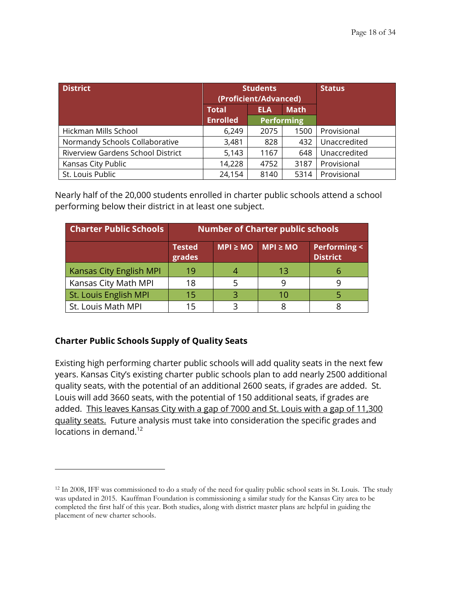| <b>District</b>                   |                 | <b>Students</b><br>(Proficient/Advanced) | <b>Status</b>     |              |
|-----------------------------------|-----------------|------------------------------------------|-------------------|--------------|
|                                   | <b>Total</b>    | <b>ELA</b>                               | <b>Math</b>       |              |
|                                   | <b>Enrolled</b> |                                          | <b>Performing</b> |              |
| Hickman Mills School              | 6,249           | 2075                                     | 1500              | Provisional  |
| Normandy Schools Collaborative    | 3,481           | 828                                      | 432               | Unaccredited |
| Riverview Gardens School District | 5,143           | 1167                                     | 648               | Unaccredited |
| Kansas City Public                | 14,228          | 4752                                     | 3187              | Provisional  |
| St. Louis Public                  | 24,154          | 8140                                     | 5314              | Provisional  |

Nearly half of the 20,000 students enrolled in charter public schools attend a school performing below their district in at least one subject.

| <b>Charter Public Schools</b>  | <b>Number of Charter public schools</b> |                           |    |                                           |  |  |
|--------------------------------|-----------------------------------------|---------------------------|----|-------------------------------------------|--|--|
|                                | <b>Tested</b><br>grades                 | $MPI \ge MO$ $MPI \ge MO$ |    | <b>Performing &lt;</b><br><b>District</b> |  |  |
| <b>Kansas City English MPI</b> | 19                                      |                           | 13 | h                                         |  |  |
| Kansas City Math MPI           | 18                                      |                           |    |                                           |  |  |
| St. Louis English MPI          | 15                                      |                           | 10 |                                           |  |  |
| St. Louis Math MPI             |                                         |                           |    |                                           |  |  |

### **Charter Public Schools Supply of Quality Seats**

 $\overline{a}$ 

Existing high performing charter public schools will add quality seats in the next few years. Kansas City's existing charter public schools plan to add nearly 2500 additional quality seats, with the potential of an additional 2600 seats, if grades are added. St. Louis will add 3660 seats, with the potential of 150 additional seats, if grades are added. This leaves Kansas City with a gap of 7000 and St. Louis with a gap of 11,300 quality seats. Future analysis must take into consideration the specific grades and locations in demand. 12

<sup>&</sup>lt;sup>12</sup> In 2008, IFF was commissioned to do a study of the need for quality public school seats in St. Louis. The study was updated in 2015. Kauffman Foundation is commissioning a similar study for the Kansas City area to be completed the first half of this year. Both studies, along with district master plans are helpful in guiding the placement of new charter schools.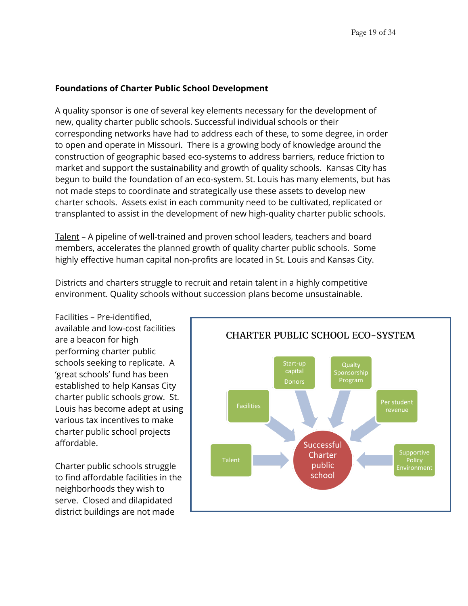### **Foundations of Charter Public School Development**

A quality sponsor is one of several key elements necessary for the development of new, quality charter public schools. Successful individual schools or their corresponding networks have had to address each of these, to some degree, in order to open and operate in Missouri. There is a growing body of knowledge around the construction of geographic based eco-systems to address barriers, reduce friction to market and support the sustainability and growth of quality schools. Kansas City has begun to build the foundation of an eco-system. St. Louis has many elements, but has not made steps to coordinate and strategically use these assets to develop new charter schools. Assets exist in each community need to be cultivated, replicated or transplanted to assist in the development of new high-quality charter public schools.

Talent – A pipeline of well-trained and proven school leaders, teachers and board members, accelerates the planned growth of quality charter public schools. Some highly effective human capital non-profits are located in St. Louis and Kansas City.

Districts and charters struggle to recruit and retain talent in a highly competitive environment. Quality schools without succession plans become unsustainable.

Facilities – Pre-identified, available and low-cost facilities are a beacon for high performing charter public schools seeking to replicate. A 'great schools' fund has been established to help Kansas City charter public schools grow. St. Louis has become adept at using various tax incentives to make charter public school projects affordable.

Charter public schools struggle to find affordable facilities in the neighborhoods they wish to serve. Closed and dilapidated district buildings are not made

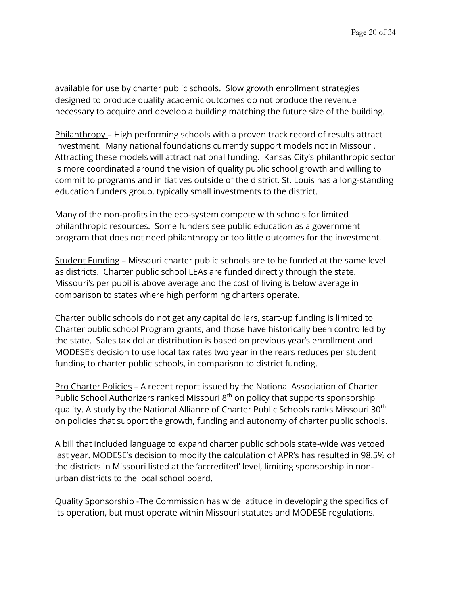available for use by charter public schools. Slow growth enrollment strategies designed to produce quality academic outcomes do not produce the revenue necessary to acquire and develop a building matching the future size of the building.

Philanthropy – High performing schools with a proven track record of results attract investment. Many national foundations currently support models not in Missouri. Attracting these models will attract national funding. Kansas City's philanthropic sector is more coordinated around the vision of quality public school growth and willing to commit to programs and initiatives outside of the district. St. Louis has a long-standing education funders group, typically small investments to the district.

Many of the non-profits in the eco-system compete with schools for limited philanthropic resources. Some funders see public education as a government program that does not need philanthropy or too little outcomes for the investment.

Student Funding – Missouri charter public schools are to be funded at the same level as districts. Charter public school LEAs are funded directly through the state. Missouri's per pupil is above average and the cost of living is below average in comparison to states where high performing charters operate.

Charter public schools do not get any capital dollars, start-up funding is limited to Charter public school Program grants, and those have historically been controlled by the state. Sales tax dollar distribution is based on previous year's enrollment and MODESE's decision to use local tax rates two year in the rears reduces per student funding to charter public schools, in comparison to district funding.

Pro Charter Policies – A recent report issued by the National Association of Charter Public School Authorizers ranked Missouri 8<sup>th</sup> on policy that supports sponsorship quality. A study by the National Alliance of Charter Public Schools ranks Missouri 30<sup>th</sup> on policies that support the growth, funding and autonomy of charter public schools.

A bill that included language to expand charter public schools state-wide was vetoed last year. MODESE's decision to modify the calculation of APR's has resulted in 98.5% of the districts in Missouri listed at the 'accredited' level, limiting sponsorship in nonurban districts to the local school board.

Quality Sponsorship -The Commission has wide latitude in developing the specifics of its operation, but must operate within Missouri statutes and MODESE regulations.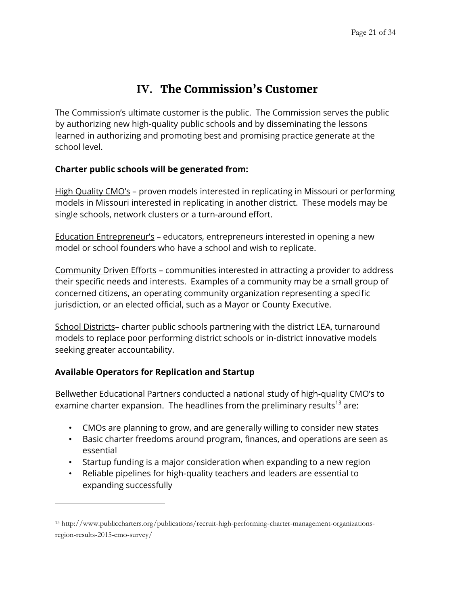# **IV. The Commission's Customer**

<span id="page-20-0"></span>The Commission's ultimate customer is the public. The Commission serves the public by authorizing new high-quality public schools and by disseminating the lessons learned in authorizing and promoting best and promising practice generate at the school level.

### **Charter public schools will be generated from:**

High Quality CMO's - proven models interested in replicating in Missouri or performing models in Missouri interested in replicating in another district. These models may be single schools, network clusters or a turn-around effort.

Education Entrepreneur's – educators, entrepreneurs interested in opening a new model or school founders who have a school and wish to replicate.

Community Driven Efforts – communities interested in attracting a provider to address their specific needs and interests. Examples of a community may be a small group of concerned citizens, an operating community organization representing a specific jurisdiction, or an elected official, such as a Mayor or County Executive.

School Districts– charter public schools partnering with the district LEA, turnaround models to replace poor performing district schools or in-district innovative models seeking greater accountability.

### **Available Operators for Replication and Startup**

 $\overline{a}$ 

Bellwether Educational Partners conducted a national study of high-quality CMO's to examine charter expansion. The headlines from the preliminary results<sup>13</sup> are:

- CMOs are planning to grow, and are generally willing to consider new states
- Basic charter freedoms around program, finances, and operations are seen as essential
- Startup funding is a major consideration when expanding to a new region
- Reliable pipelines for high-quality teachers and leaders are essential to expanding successfully

<sup>13</sup> http://www.publiccharters.org/publications/recruit-high-performing-charter-management-organizationsregion-results-2015-cmo-survey/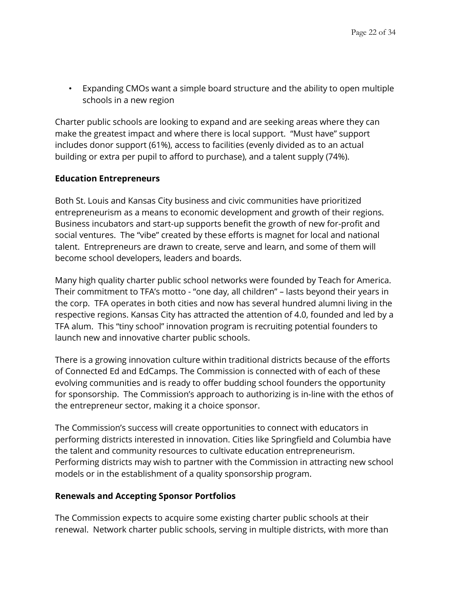• Expanding CMOs want a simple board structure and the ability to open multiple schools in a new region

Charter public schools are looking to expand and are seeking areas where they can make the greatest impact and where there is local support. "Must have" support includes donor support (61%), access to facilities (evenly divided as to an actual building or extra per pupil to afford to purchase), and a talent supply (74%).

#### **Education Entrepreneurs**

Both St. Louis and Kansas City business and civic communities have prioritized entrepreneurism as a means to economic development and growth of their regions. Business incubators and start-up supports benefit the growth of new for-profit and social ventures. The "vibe" created by these efforts is magnet for local and national talent. Entrepreneurs are drawn to create, serve and learn, and some of them will become school developers, leaders and boards.

Many high quality charter public school networks were founded by Teach for America. Their commitment to TFA's motto - "one day, all children" – lasts beyond their years in the corp. TFA operates in both cities and now has several hundred alumni living in the respective regions. Kansas City has attracted the attention of 4.0, founded and led by a TFA alum. This "tiny school" innovation program is recruiting potential founders to launch new and innovative charter public schools.

There is a growing innovation culture within traditional districts because of the efforts of Connected Ed and EdCamps. The Commission is connected with of each of these evolving communities and is ready to offer budding school founders the opportunity for sponsorship. The Commission's approach to authorizing is in-line with the ethos of the entrepreneur sector, making it a choice sponsor.

The Commission's success will create opportunities to connect with educators in performing districts interested in innovation. Cities like Springfield and Columbia have the talent and community resources to cultivate education entrepreneurism. Performing districts may wish to partner with the Commission in attracting new school models or in the establishment of a quality sponsorship program.

#### **Renewals and Accepting Sponsor Portfolios**

The Commission expects to acquire some existing charter public schools at their renewal. Network charter public schools, serving in multiple districts, with more than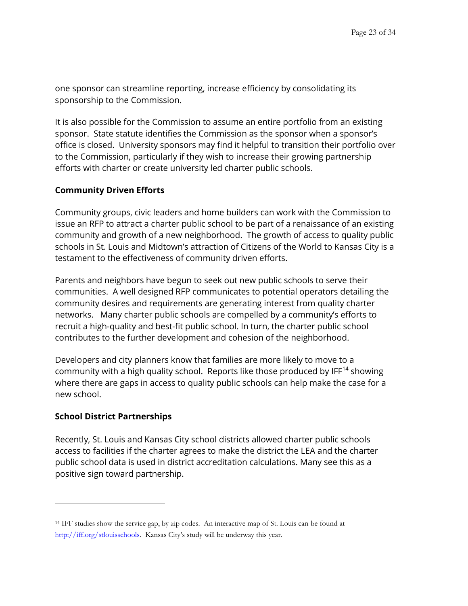one sponsor can streamline reporting, increase efficiency by consolidating its sponsorship to the Commission.

It is also possible for the Commission to assume an entire portfolio from an existing sponsor. State statute identifies the Commission as the sponsor when a sponsor's office is closed. University sponsors may find it helpful to transition their portfolio over to the Commission, particularly if they wish to increase their growing partnership efforts with charter or create university led charter public schools.

#### **Community Driven Efforts**

Community groups, civic leaders and home builders can work with the Commission to issue an RFP to attract a charter public school to be part of a renaissance of an existing community and growth of a new neighborhood. The growth of access to quality public schools in St. Louis and Midtown's attraction of Citizens of the World to Kansas City is a testament to the effectiveness of community driven efforts.

Parents and neighbors have begun to seek out new public schools to serve their communities. A well designed RFP communicates to potential operators detailing the community desires and requirements are generating interest from quality charter networks. Many charter public schools are compelled by a community's efforts to recruit a high-quality and best-fit public school. In turn, the charter public school contributes to the further development and cohesion of the neighborhood.

Developers and city planners know that families are more likely to move to a community with a high quality school. Reports like those produced by  $IF^{14}$  showing where there are gaps in access to quality public schools can help make the case for a new school.

#### **School District Partnerships**

 $\overline{a}$ 

Recently, St. Louis and Kansas City school districts allowed charter public schools access to facilities if the charter agrees to make the district the LEA and the charter public school data is used in district accreditation calculations. Many see this as a positive sign toward partnership.

<sup>14</sup> IFF studies show the service gap, by zip codes. An interactive map of St. Louis can be found at <http://iff.org/stlouisschools>. Kansas City's study will be underway this year.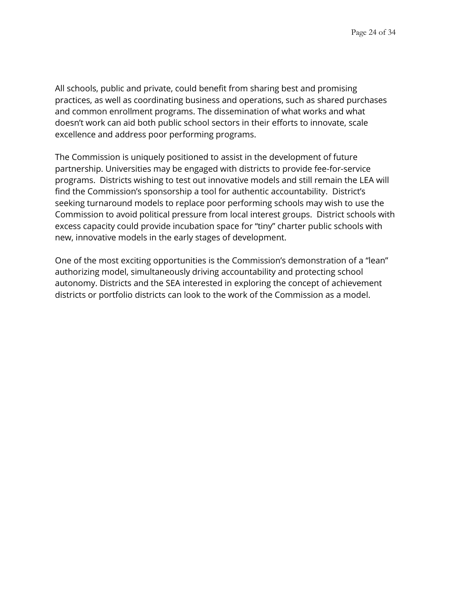All schools, public and private, could benefit from sharing best and promising practices, as well as coordinating business and operations, such as shared purchases and common enrollment programs. The dissemination of what works and what doesn't work can aid both public school sectors in their efforts to innovate, scale excellence and address poor performing programs.

The Commission is uniquely positioned to assist in the development of future partnership. Universities may be engaged with districts to provide fee-for-service programs. Districts wishing to test out innovative models and still remain the LEA will find the Commission's sponsorship a tool for authentic accountability. District's seeking turnaround models to replace poor performing schools may wish to use the Commission to avoid political pressure from local interest groups. District schools with excess capacity could provide incubation space for "tiny" charter public schools with new, innovative models in the early stages of development.

One of the most exciting opportunities is the Commission's demonstration of a "lean" authorizing model, simultaneously driving accountability and protecting school autonomy. Districts and the SEA interested in exploring the concept of achievement districts or portfolio districts can look to the work of the Commission as a model.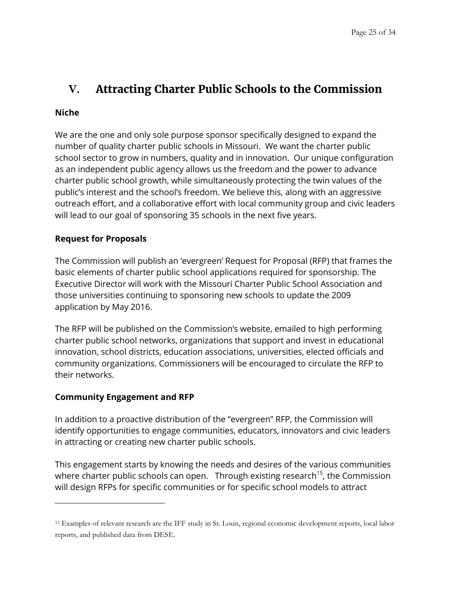# <span id="page-24-0"></span>**V. Attracting Charter Public Schools to the Commission**

### **Niche**

 $\overline{a}$ 

We are the one and only sole purpose sponsor specifically designed to expand the number of quality charter public schools in Missouri. We want the charter public school sector to grow in numbers, quality and in innovation. Our unique configuration as an independent public agency allows us the freedom and the power to advance charter public school growth, while simultaneously protecting the twin values of the public's interest and the school's freedom. We believe this, along with an aggressive outreach effort, and a collaborative effort with local community group and civic leaders will lead to our goal of sponsoring 35 schools in the next five years.

### **Request for Proposals**

The Commission will publish an 'evergreen' Request for Proposal (RFP) that frames the basic elements of charter public school applications required for sponsorship. The Executive Director will work with the Missouri Charter Public School Association and those universities continuing to sponsoring new schools to update the 2009 application by May 2016.

The RFP will be published on the Commission's website, emailed to high performing charter public school networks, organizations that support and invest in educational innovation, school districts, education associations, universities, elected officials and community organizations. Commissioners will be encouraged to circulate the RFP to their networks.

#### **Community Engagement and RFP**

In addition to a proactive distribution of the "evergreen" RFP, the Commission will identify opportunities to engage communities, educators, innovators and civic leaders in attracting or creating new charter public schools.

This engagement starts by knowing the needs and desires of the various communities where charter public schools can open. Through existing research<sup>15</sup>, the Commission will design RFPs for specific communities or for specific school models to attract

<sup>15</sup> Examples of relevant research are the IFF study in St. Louis, regional economic development reports, local labor reports, and published data from DESE.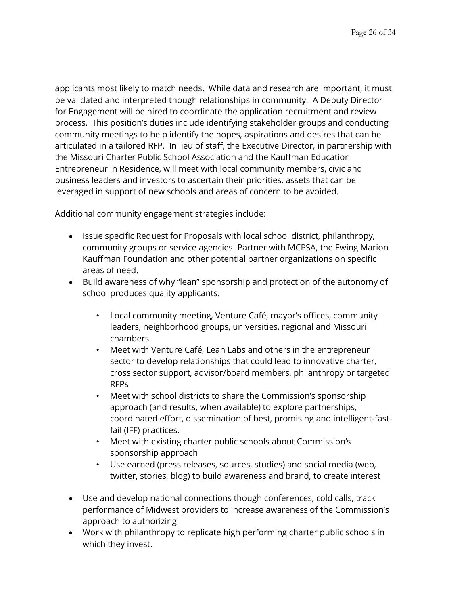applicants most likely to match needs. While data and research are important, it must be validated and interpreted though relationships in community. A Deputy Director for Engagement will be hired to coordinate the application recruitment and review process. This position's duties include identifying stakeholder groups and conducting community meetings to help identify the hopes, aspirations and desires that can be articulated in a tailored RFP. In lieu of staff, the Executive Director, in partnership with the Missouri Charter Public School Association and the Kauffman Education Entrepreneur in Residence, will meet with local community members, civic and business leaders and investors to ascertain their priorities, assets that can be leveraged in support of new schools and areas of concern to be avoided.

Additional community engagement strategies include:

- Issue specific Request for Proposals with local school district, philanthropy, community groups or service agencies. Partner with MCPSA, the Ewing Marion Kauffman Foundation and other potential partner organizations on specific areas of need.
- Build awareness of why "lean" sponsorship and protection of the autonomy of school produces quality applicants.
	- Local community meeting, Venture Café, mayor's offices, community leaders, neighborhood groups, universities, regional and Missouri chambers
	- Meet with Venture Café, Lean Labs and others in the entrepreneur sector to develop relationships that could lead to innovative charter, cross sector support, advisor/board members, philanthropy or targeted RFPs
	- Meet with school districts to share the Commission's sponsorship approach (and results, when available) to explore partnerships, coordinated effort, dissemination of best, promising and intelligent-fastfail (IFF) practices.
	- Meet with existing charter public schools about Commission's sponsorship approach
	- Use earned (press releases, sources, studies) and social media (web, twitter, stories, blog) to build awareness and brand, to create interest
- Use and develop national connections though conferences, cold calls, track performance of Midwest providers to increase awareness of the Commission's approach to authorizing
- Work with philanthropy to replicate high performing charter public schools in which they invest.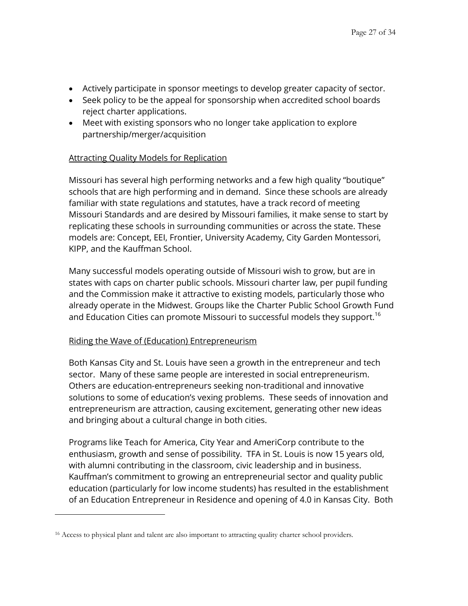- Actively participate in sponsor meetings to develop greater capacity of sector.
- Seek policy to be the appeal for sponsorship when accredited school boards reject charter applications.
- Meet with existing sponsors who no longer take application to explore partnership/merger/acquisition

#### Attracting Quality Models for Replication

Missouri has several high performing networks and a few high quality "boutique" schools that are high performing and in demand. Since these schools are already familiar with state regulations and statutes, have a track record of meeting Missouri Standards and are desired by Missouri families, it make sense to start by replicating these schools in surrounding communities or across the state. These models are: Concept, EEI, Frontier, University Academy, City Garden Montessori, KIPP, and the Kauffman School.

Many successful models operating outside of Missouri wish to grow, but are in states with caps on charter public schools. Missouri charter law, per pupil funding and the Commission make it attractive to existing models, particularly those who already operate in the Midwest. Groups like the Charter Public School Growth Fund and Education Cities can promote Missouri to successful models they support.<sup>16</sup>

#### Riding the Wave of (Education) Entrepreneurism

 $\overline{a}$ 

Both Kansas City and St. Louis have seen a growth in the entrepreneur and tech sector. Many of these same people are interested in social entrepreneurism. Others are education-entrepreneurs seeking non-traditional and innovative solutions to some of education's vexing problems. These seeds of innovation and entrepreneurism are attraction, causing excitement, generating other new ideas and bringing about a cultural change in both cities.

Programs like Teach for America, City Year and AmeriCorp contribute to the enthusiasm, growth and sense of possibility. TFA in St. Louis is now 15 years old, with alumni contributing in the classroom, civic leadership and in business. Kauffman's commitment to growing an entrepreneurial sector and quality public education (particularly for low income students) has resulted in the establishment of an Education Entrepreneur in Residence and opening of 4.0 in Kansas City. Both

<sup>&</sup>lt;sup>16</sup> Access to physical plant and talent are also important to attracting quality charter school providers.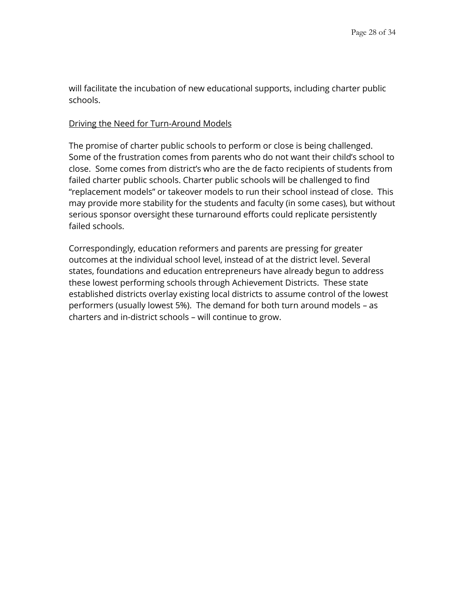will facilitate the incubation of new educational supports, including charter public schools.

#### Driving the Need for Turn-Around Models

The promise of charter public schools to perform or close is being challenged. Some of the frustration comes from parents who do not want their child's school to close. Some comes from district's who are the de facto recipients of students from failed charter public schools. Charter public schools will be challenged to find "replacement models" or takeover models to run their school instead of close. This may provide more stability for the students and faculty (in some cases), but without serious sponsor oversight these turnaround efforts could replicate persistently failed schools.

Correspondingly, education reformers and parents are pressing for greater outcomes at the individual school level, instead of at the district level. Several states, foundations and education entrepreneurs have already begun to address these lowest performing schools through Achievement Districts. These state established districts overlay existing local districts to assume control of the lowest performers (usually lowest 5%). The demand for both turn around models – as charters and in-district schools – will continue to grow.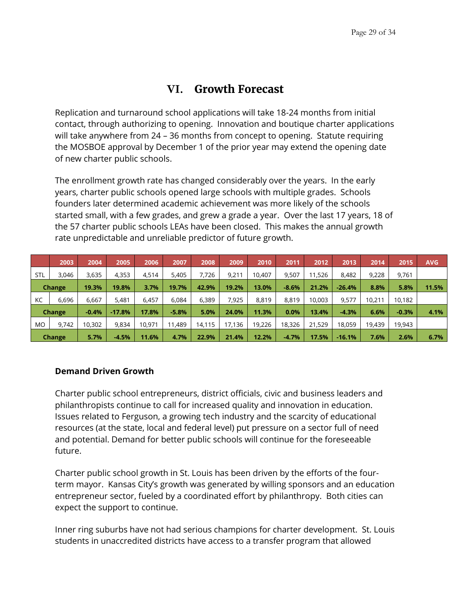## **VI. Growth Forecast**

<span id="page-28-0"></span>Replication and turnaround school applications will take 18-24 months from initial contact, through authorizing to opening. Innovation and boutique charter applications will take anywhere from 24 – 36 months from concept to opening. Statute requiring the MOSBOE approval by December 1 of the prior year may extend the opening date of new charter public schools.

The enrollment growth rate has changed considerably over the years. In the early years, charter public schools opened large schools with multiple grades. Schools founders later determined academic achievement was more likely of the schools started small, with a few grades, and grew a grade a year. Over the last 17 years, 18 of the 57 charter public schools LEAs have been closed. This makes the annual growth rate unpredictable and unreliable predictor of future growth.

|            | 2003   | 2004    | 2005     | 2006   | 2007    | 2008   | 2009   | 2010   | 2011    | 2012   | 2013     | 2014   | 2015    | <b>AVG</b> |
|------------|--------|---------|----------|--------|---------|--------|--------|--------|---------|--------|----------|--------|---------|------------|
| <b>STL</b> | 3.046  | 3,635   | 4,353    | 4.514  | 5,405   | 7.726  | 9,211  | 10,407 | 9.507   | 1.526  | 8,482    | 9,228  | 9,761   |            |
|            | Change | 19.3%   | 19.8%    | 3.7%   | 19.7%   | 42.9%  | 19.2%  | 13.0%  | $-8.6%$ | 21.2%  | $-26.4%$ | 8.8%   | 5.8%    | 11.5%      |
| KC         | 6,696  | 6,667   | 5,481    | 6,457  | 6,084   | 6,389  | 7,925  | 8.819  | 8,819   | 10.003 | 9,577    | 10.211 | 10,182  |            |
| Change     |        | $-0.4%$ | $-17.8%$ | 17.8%  | $-5.8%$ | 5.0%   | 24.0%  | 11.3%  | $0.0\%$ | 13.4%  | $-4.3%$  | 6.6%   | $-0.3%$ | 4.1%       |
| MO         | 9.742  | 10,302  | 9.834    | 10.971 | 11.489  | 14,115 | 17.136 | 19.226 | 18,326  | 21.529 | 18.059   | 19,439 | 19,943  |            |
|            | Change | 5.7%    | $-4.5%$  | 11.6%  | 4.7%    | 22.9%  | 21.4%  | 12.2%  | $-4.7%$ | 17.5%  | $-16.1%$ | 7.6%   | 2.6%    | 6.7%       |

#### **Demand Driven Growth**

Charter public school entrepreneurs, district officials, civic and business leaders and philanthropists continue to call for increased quality and innovation in education. Issues related to Ferguson, a growing tech industry and the scarcity of educational resources (at the state, local and federal level) put pressure on a sector full of need and potential. Demand for better public schools will continue for the foreseeable future.

Charter public school growth in St. Louis has been driven by the efforts of the fourterm mayor. Kansas City's growth was generated by willing sponsors and an education entrepreneur sector, fueled by a coordinated effort by philanthropy. Both cities can expect the support to continue.

Inner ring suburbs have not had serious champions for charter development. St. Louis students in unaccredited districts have access to a transfer program that allowed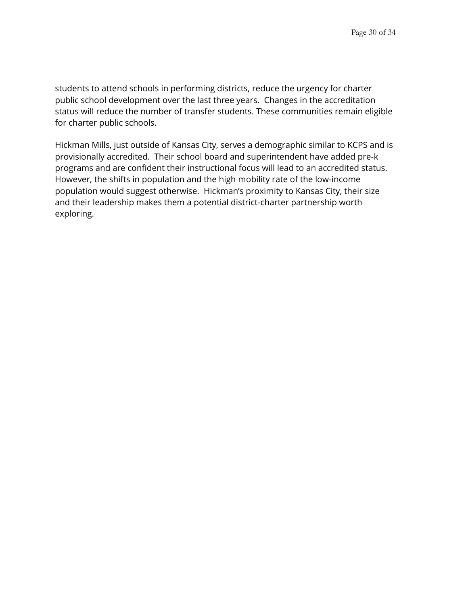students to attend schools in performing districts, reduce the urgency for charter public school development over the last three years. Changes in the accreditation status will reduce the number of transfer students. These communities remain eligible for charter public schools.

Hickman Mills, just outside of Kansas City, serves a demographic similar to KCPS and is provisionally accredited. Their school board and superintendent have added pre-k programs and are confident their instructional focus will lead to an accredited status. However, the shifts in population and the high mobility rate of the low-income population would suggest otherwise. Hickman's proximity to Kansas City, their size and their leadership makes them a potential district-charter partnership worth exploring.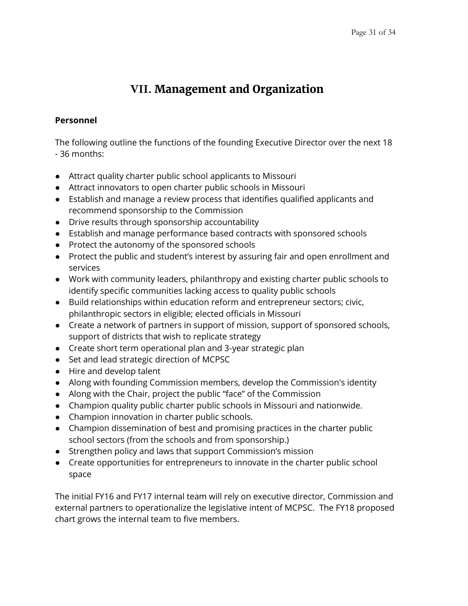# **VII. Management and Organization**

#### <span id="page-30-0"></span>**Personnel**

The following outline the functions of the founding Executive Director over the next 18 - 36 months:

- Attract quality charter public school applicants to Missouri
- Attract innovators to open charter public schools in Missouri
- Establish and manage a review process that identifies qualified applicants and recommend sponsorship to the Commission
- Drive results through sponsorship accountability
- Establish and manage performance based contracts with sponsored schools
- Protect the autonomy of the sponsored schools
- Protect the public and student's interest by assuring fair and open enrollment and services
- Work with community leaders, philanthropy and existing charter public schools to identify specific communities lacking access to quality public schools
- Build relationships within education reform and entrepreneur sectors; civic, philanthropic sectors in eligible; elected officials in Missouri
- Create a network of partners in support of mission, support of sponsored schools, support of districts that wish to replicate strategy
- Create short term operational plan and 3-year strategic plan
- Set and lead strategic direction of MCPSC
- Hire and develop talent
- Along with founding Commission members, develop the Commission's identity
- Along with the Chair, project the public "face" of the Commission
- Champion quality public charter public schools in Missouri and nationwide.
- Champion innovation in charter public schools.
- Champion dissemination of best and promising practices in the charter public school sectors (from the schools and from sponsorship.)
- Strengthen policy and laws that support Commission's mission
- Create opportunities for entrepreneurs to innovate in the charter public school space

The initial FY16 and FY17 internal team will rely on executive director, Commission and external partners to operationalize the legislative intent of MCPSC. The FY18 proposed chart grows the internal team to five members.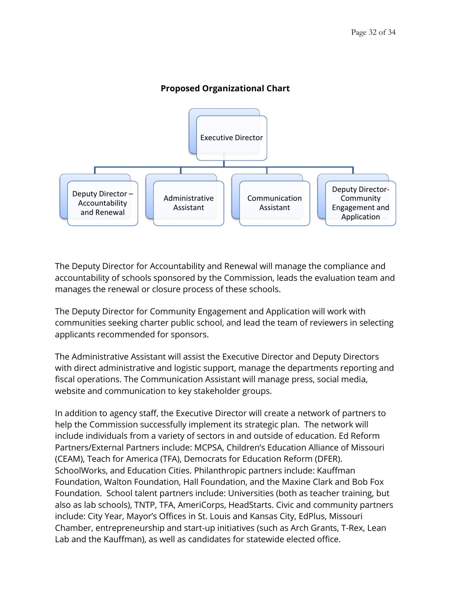

### **Proposed Organizational Chart**

The Deputy Director for Accountability and Renewal will manage the compliance and accountability of schools sponsored by the Commission, leads the evaluation team and manages the renewal or closure process of these schools.

The Deputy Director for Community Engagement and Application will work with communities seeking charter public school, and lead the team of reviewers in selecting applicants recommended for sponsors.

The Administrative Assistant will assist the Executive Director and Deputy Directors with direct administrative and logistic support, manage the departments reporting and fiscal operations. The Communication Assistant will manage press, social media, website and communication to key stakeholder groups.

In addition to agency staff, the Executive Director will create a network of partners to help the Commission successfully implement its strategic plan. The network will include individuals from a variety of sectors in and outside of education. Ed Reform Partners/External Partners include: MCPSA, Children's Education Alliance of Missouri (CEAM), Teach for America (TFA), Democrats for Education Reform (DFER). SchoolWorks, and Education Cities. Philanthropic partners include: Kauffman Foundation, Walton Foundation, Hall Foundation, and the Maxine Clark and Bob Fox Foundation. School talent partners include: Universities (both as teacher training, but also as lab schools), TNTP, TFA, AmeriCorps, HeadStarts. Civic and community partners include: City Year, Mayor's Offices in St. Louis and Kansas City, EdPlus, Missouri Chamber, entrepreneurship and start-up initiatives (such as Arch Grants, T-Rex, Lean Lab and the Kauffman), as well as candidates for statewide elected office.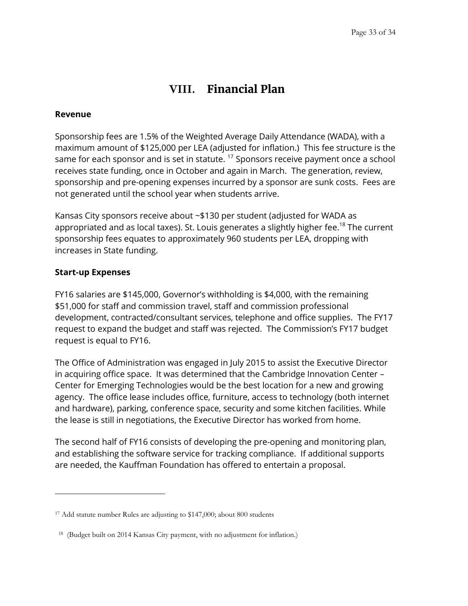# **VIII. Financial Plan**

#### <span id="page-32-0"></span>**Revenue**

Sponsorship fees are 1.5% of the Weighted Average Daily Attendance (WADA), with a maximum amount of \$125,000 per LEA (adjusted for inflation.) This fee structure is the same for each sponsor and is set in statute.  $17$  Sponsors receive payment once a school receives state funding, once in October and again in March. The generation, review, sponsorship and pre-opening expenses incurred by a sponsor are sunk costs. Fees are not generated until the school year when students arrive.

Kansas City sponsors receive about ~\$130 per student (adjusted for WADA as appropriated and as local taxes). St. Louis generates a slightly higher fee.<sup>18</sup> The current sponsorship fees equates to approximately 960 students per LEA, dropping with increases in State funding.

#### **Start-up Expenses**

 $\overline{a}$ 

FY16 salaries are \$145,000, Governor's withholding is \$4,000, with the remaining \$51,000 for staff and commission travel, staff and commission professional development, contracted/consultant services, telephone and office supplies. The FY17 request to expand the budget and staff was rejected. The Commission's FY17 budget request is equal to FY16.

The Office of Administration was engaged in July 2015 to assist the Executive Director in acquiring office space. It was determined that the Cambridge Innovation Center – Center for Emerging Technologies would be the best location for a new and growing agency. The office lease includes office, furniture, access to technology (both internet and hardware), parking, conference space, security and some kitchen facilities. While the lease is still in negotiations, the Executive Director has worked from home.

The second half of FY16 consists of developing the pre-opening and monitoring plan, and establishing the software service for tracking compliance. If additional supports are needed, the Kauffman Foundation has offered to entertain a proposal.

<sup>&</sup>lt;sup>17</sup> Add statute number Rules are adjusting to \$147,000; about 800 students

<sup>&</sup>lt;sup>18</sup> (Budget built on 2014 Kansas City payment, with no adjustment for inflation.)